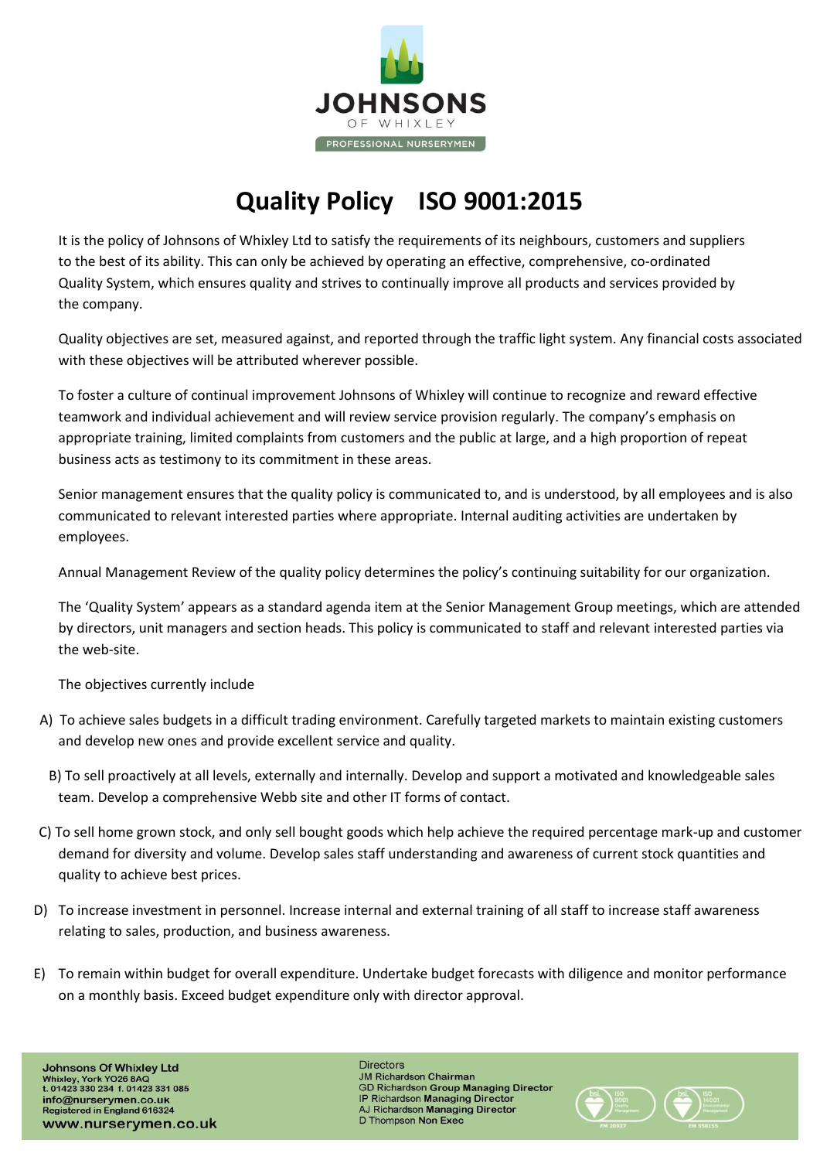

## **Quality Policy ISO 9001:2015**

It is the policy of Johnsons of Whixley Ltd to satisfy the requirements of its neighbours, customers and suppliers to the best of its ability. This can only be achieved by operating an effective, comprehensive, co-ordinated Quality System, which ensures quality and strives to continually improve all products and services provided by the company.

Quality objectives are set, measured against, and reported through the traffic light system. Any financial costs associated with these objectives will be attributed wherever possible.

To foster a culture of continual improvement Johnsons of Whixley will continue to recognize and reward effective teamwork and individual achievement and will review service provision regularly. The company's emphasis on appropriate training, limited complaints from customers and the public at large, and a high proportion of repeat business acts as testimony to its commitment in these areas.

Senior management ensures that the quality policy is communicated to, and is understood, by all employees and is also communicated to relevant interested parties where appropriate. Internal auditing activities are undertaken by employees.

Annual Management Review of the quality policy determines the policy's continuing suitability for our organization.

The 'Quality System' appears as a standard agenda item at the Senior Management Group meetings, which are attended by directors, unit managers and section heads. This policy is communicated to staff and relevant interested parties via the web-site.

The objectives currently include

- A) To achieve sales budgets in a difficult trading environment. Carefully targeted markets to maintain existing customers and develop new ones and provide excellent service and quality.
	- B) To sell proactively at all levels, externally and internally. Develop and support a motivated and knowledgeable sales team. Develop a comprehensive Webb site and other IT forms of contact.
- C) To sell home grown stock, and only sell bought goods which help achieve the required percentage mark-up and customer demand for diversity and volume. Develop sales staff understanding and awareness of current stock quantities and quality to achieve best prices.
- D) To increase investment in personnel. Increase internal and external training of all staff to increase staff awareness relating to sales, production, and business awareness.
- E) To remain within budget for overall expenditure. Undertake budget forecasts with diligence and monitor performance on a monthly basis. Exceed budget expenditure only with director approval.

**Johnsons Of Whixley Ltd** Whixley, York YO26 8AQ<br>t. 01423 330 234 f. 01423 331 085 info@nurserymen.co.uk<br>Registered in England 616324 www.nurserymen.co.uk

**Directors JM Richardson Chairman GD Richardson Group Managing Director** IP Richardson Managing Director AJ Richardson Managing Director D Thompson Non Exec

 $\left(\bigstar\limits_{\mathbb{R}^3}\right)_{\mathbb{R}^3}^{\mathbb{R}^3}$   $\left(\bigstar\limits_{\mathbb{R}^3}\right)_{\mathbb{R}^3}^{\mathbb{R}^3}$